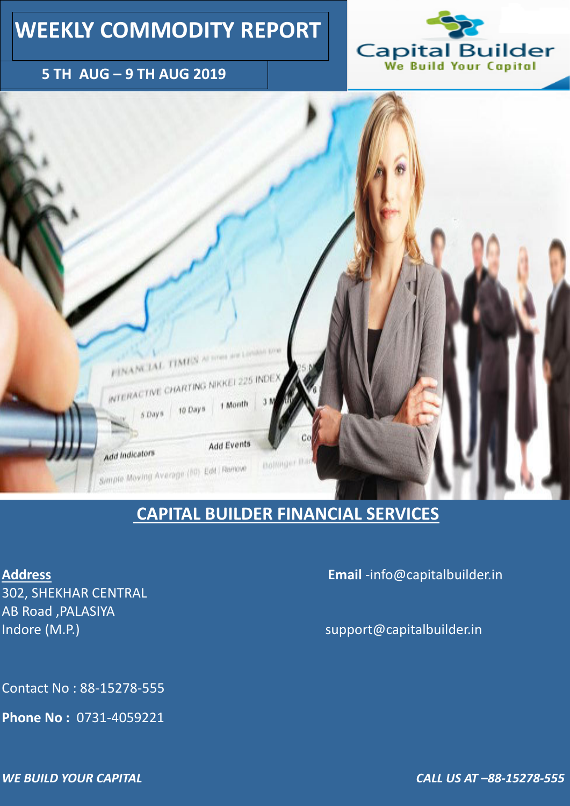### **5 TH AUG – 9 TH AUG 2019**





# **WEEKLY COMMODITY REPORT**

302, SHEKHAR CENTRAL AB Road ,PALASIYA Indore (M.P.) and the support  $\emptyset$  capital builder.in

### **CAPITAL BUILDER FINANCIAL SERVICES**

**Address Email** -info@capitalbuilder.in

Contact No : 88-15278-555

**Phone No :** 0731-4059221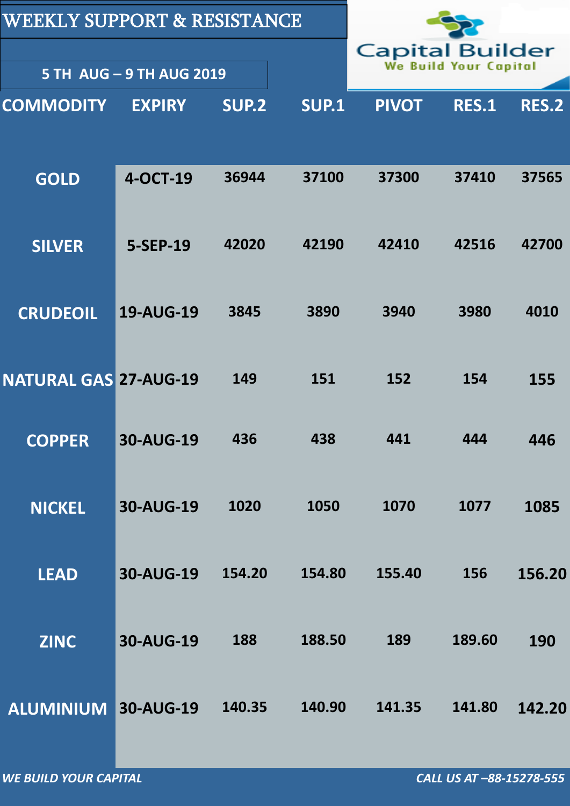| <b>WEEKLY SUPPORT &amp; RESISTANCE</b> |                                                 |        |              |              |              |              |
|----------------------------------------|-------------------------------------------------|--------|--------------|--------------|--------------|--------------|
|                                        | <b>Capital Builder</b><br>We Build Your Capital |        |              |              |              |              |
|                                        | <b>5 TH AUG - 9 TH AUG 2019</b>                 |        |              |              |              |              |
| <b>COMMODITY</b>                       | <b>EXPIRY</b>                                   | SUP.2  | <b>SUP.1</b> | <b>PIVOT</b> | <b>RES.1</b> | <b>RES.2</b> |
|                                        |                                                 |        |              |              |              |              |
| <b>GOLD</b>                            | 4-OCT-19                                        | 36944  | 37100        | 37300        | 37410        | 37565        |
|                                        |                                                 |        |              |              |              |              |
| <b>SILVER</b>                          | 5-SEP-19                                        | 42020  | 42190        | 42410        | 42516        | 42700        |
|                                        |                                                 |        |              |              |              |              |
| <b>CRUDEOIL</b>                        | <b>19-AUG-19</b>                                | 3845   | 3890         | 3940         | 3980         | 4010         |
|                                        |                                                 |        |              |              |              |              |
| <b>NATURAL GAS 27-AUG-19</b>           |                                                 | 149    | 151          | 152          | 154          | 155          |
| <b>COPPER</b>                          | <b>30-AUG-19</b>                                | 436    | 438          | 441          | 444          | 446          |
|                                        |                                                 |        |              |              |              |              |
| <b>NICKEL</b>                          | <b>30-AUG-19</b>                                | 1020   | 1050         | 1070         | 1077         | 1085         |
|                                        |                                                 |        |              |              |              |              |
| <b>LEAD</b>                            | <b>30-AUG-19</b>                                | 154.20 | 154.80       | 155.40       | 156          | 156.20       |
|                                        |                                                 |        |              |              |              |              |

| <b>30-AUG-19</b><br><b>ZINC</b> | 188    | 188.50 | 189    | 189.60 | <b>190</b> |
|---------------------------------|--------|--------|--------|--------|------------|
| <b>ALUMINIUM 30-AUG-19</b>      | 140.35 | 140.90 | 141.35 | 141.80 | 142.20     |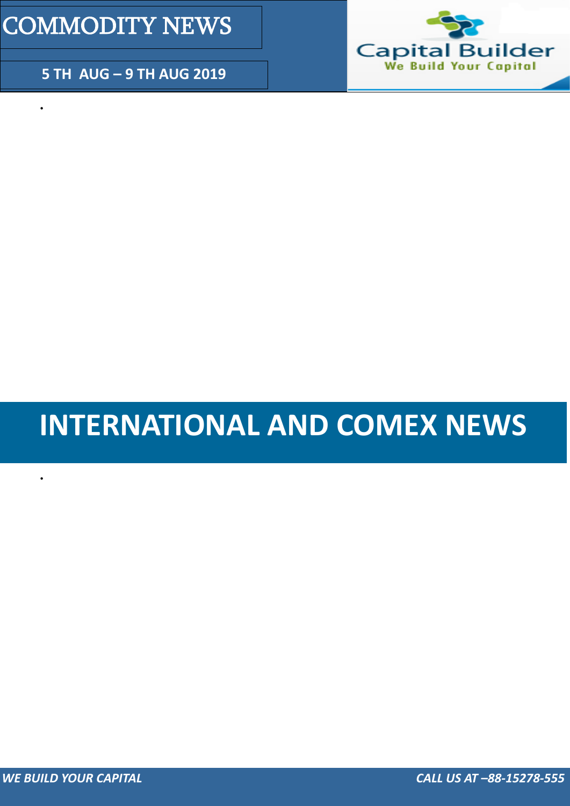### **5 TH AUG – 9 TH AUG 2019**



# COMMODITY NEWS

 $\bullet$ 

 $\bullet$ 

# **INTERNATIONAL AND COMEX NEWS**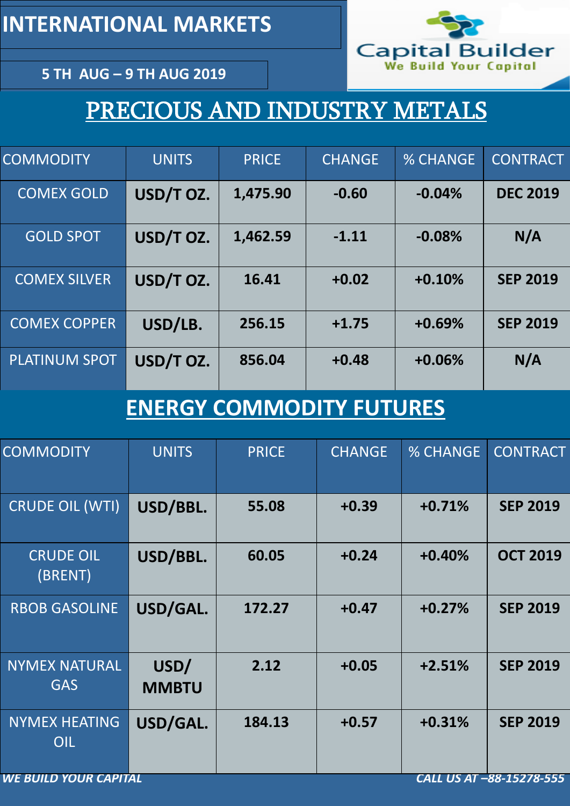**5 TH AUG – 9 TH AUG 2019**

# PRECIOUS AND INDUSTRY METALS

| <b>COMMODITY</b>     | <b>UNITS</b> | <b>PRICE</b> | <b>CHANGE</b> | <b>% CHANGE</b> | <b>CONTRACT</b> |
|----------------------|--------------|--------------|---------------|-----------------|-----------------|
| <b>COMEX GOLD</b>    | USD/T OZ.    | 1,475.90     | $-0.60$       | $-0.04%$        | <b>DEC 2019</b> |
| <b>GOLD SPOT</b>     | USD/T OZ.    | 1,462.59     | $-1.11$       | $-0.08%$        | N/A             |
| <b>COMEX SILVER</b>  | USD/T OZ.    | 16.41        | $+0.02$       | $+0.10%$        | <b>SEP 2019</b> |
| <b>COMEX COPPER</b>  | USD/LB.      | 256.15       | $+1.75$       | $+0.69%$        | <b>SEP 2019</b> |
| <b>PLATINUM SPOT</b> | USD/T OZ.    | 856.04       | $+0.48$       | $+0.06%$        | N/A             |

| <b>COMMODITY</b>                                         | <b>UNITS</b>         | <b>PRICE</b> | <b>CHANGE</b> | <b>% CHANGE</b> | <b>CONTRACT</b> |  |  |
|----------------------------------------------------------|----------------------|--------------|---------------|-----------------|-----------------|--|--|
| <b>CRUDE OIL (WTI)</b>                                   | USD/BBL.             | 55.08        | $+0.39$       | $+0.71%$        | <b>SEP 2019</b> |  |  |
| <b>CRUDE OIL</b><br>(BRENT)                              | USD/BBL.             | 60.05        | $+0.24$       | $+0.40%$        | <b>OCT 2019</b> |  |  |
| <b>RBOB GASOLINE</b>                                     | USD/GAL.             | 172.27       | $+0.47$       | $+0.27%$        | <b>SEP 2019</b> |  |  |
| <b>NYMEX NATURAL</b><br><b>GAS</b>                       | USD/<br><b>MMBTU</b> | 2.12         | $+0.05$       | $+2.51%$        | <b>SEP 2019</b> |  |  |
| <b>NYMEX HEATING</b><br>OIL                              | USD/GAL.             | 184.13       | $+0.57$       | $+0.31%$        | <b>SEP 2019</b> |  |  |
| <b>WE BUILD YOUR CAPITAL</b><br>CALL US AT -88-15278-555 |                      |              |               |                 |                 |  |  |

# **ENERGY COMMODITY FUTURES**

**INTERNATIONAL MARKETS** 

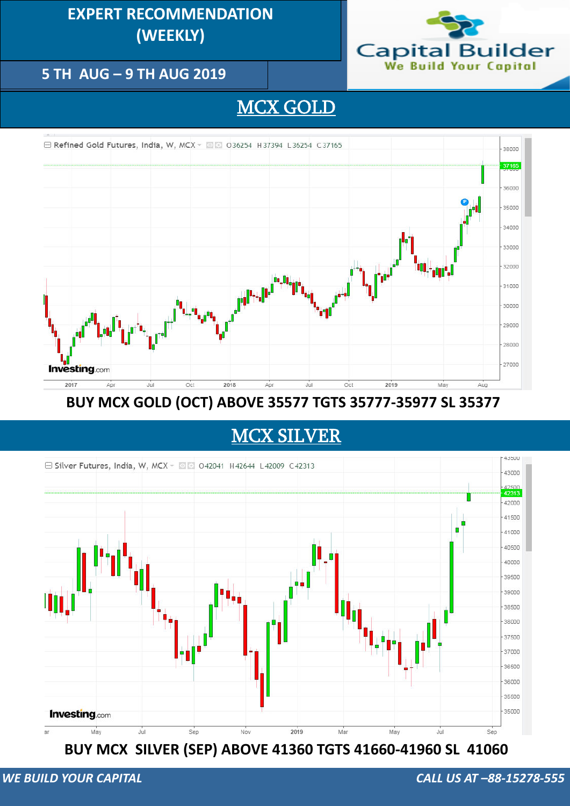## BUY MCX SILVER (SEP) ABOVE 41360 TGTS 41660-41960 SL 41060

### **5 TH AUG – 9 TH AUG 2019**

## **EXPERT RECOMMENDATION (WEEKLY) (DAILY)**



## MCX GOLD



BUY MCX GOLD (OCT) ABOVE 35577 TGTS 35777-35977 SL 35377

### MCX SILVER

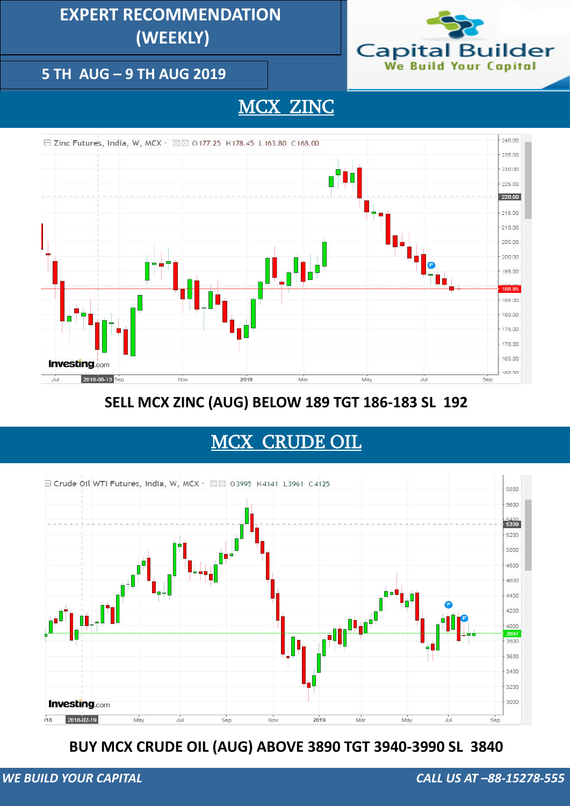### **5 TH AUG – 9 TH AUG 2019**

## **EXPERT RECOMMENDATION (WEEKLY)**



## MCX ZINC



**SELL MCX ZINC (AUG) BELOW 189 TGT 186-183 SL 192**

### **BUY MCX CRUDE OIL (AUG) ABOVE 3890 TGT 3940-3990 SL 3840**

## MCX CRUDE OIL

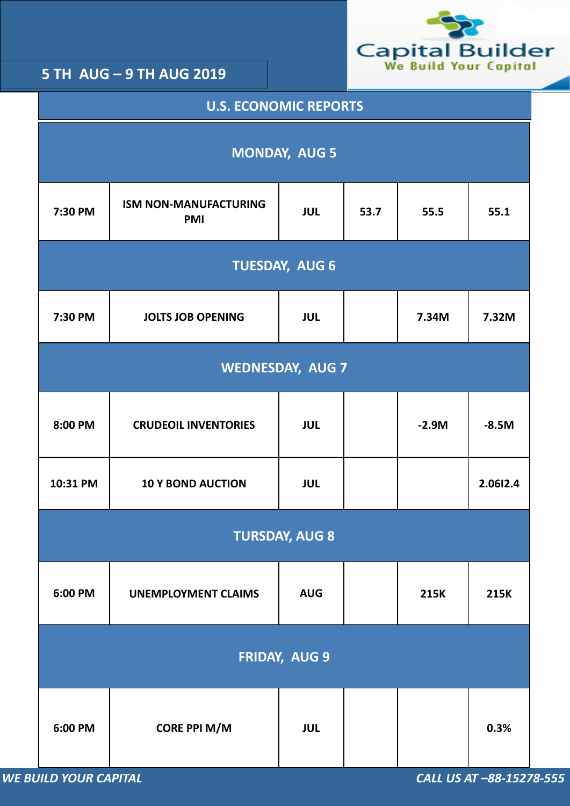

| <b>U.S. ECONOMIC REPORTS</b> |                                            |            |       |             |             |  |  |  |
|------------------------------|--------------------------------------------|------------|-------|-------------|-------------|--|--|--|
| <b>MONDAY, AUG 5</b>         |                                            |            |       |             |             |  |  |  |
| 7:30 PM                      | <b>ISM NON-MANUFACTURING</b><br><b>PMI</b> | 55.5       | 55.1  |             |             |  |  |  |
| <b>TUESDAY, AUG 6</b>        |                                            |            |       |             |             |  |  |  |
| 7:30 PM                      | <b>JOLTS JOB OPENING</b>                   | 7.34M      | 7.32M |             |             |  |  |  |
| <b>WEDNESDAY, AUG 7</b>      |                                            |            |       |             |             |  |  |  |
| 8:00 PM                      | <b>CRUDEOIL INVENTORIES</b>                | <b>JUL</b> |       | $-2.9M$     | $-8.5M$     |  |  |  |
| 10:31 PM                     | <b>10 Y BOND AUCTION</b>                   | <b>JUL</b> |       |             | 2.0612.4    |  |  |  |
| <b>TURSDAY, AUG 8</b>        |                                            |            |       |             |             |  |  |  |
| 6:00 PM                      | <b>UNEMPLOYMENT CLAIMS</b>                 | <b>AUG</b> |       | <b>215K</b> | <b>215K</b> |  |  |  |